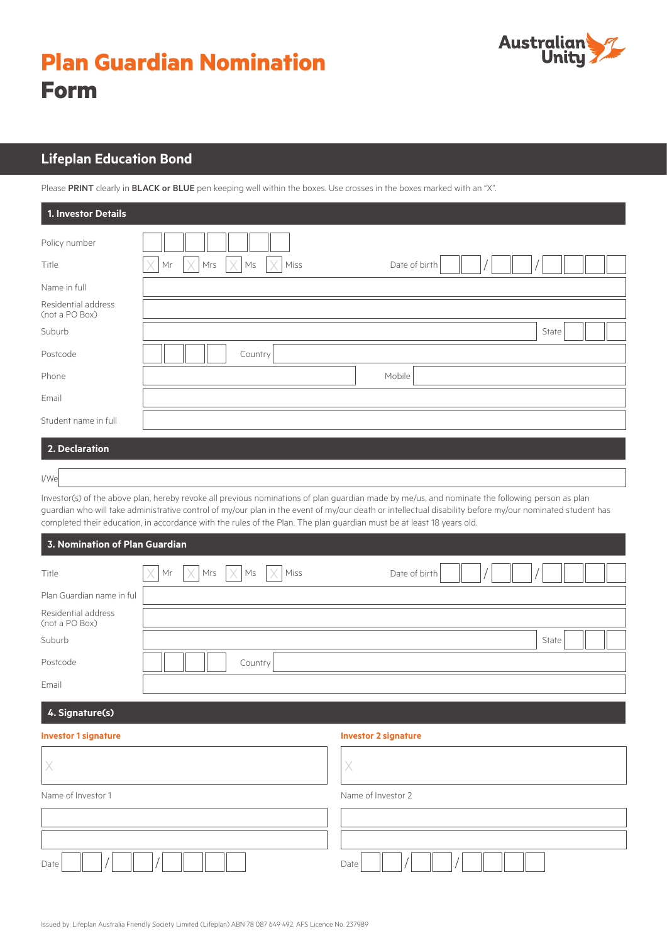# **Plan Guardian Nomination Form**



## **Lifeplan Education Bond**

Please PRINT clearly in BLACK or BLUE pen keeping well within the boxes. Use crosses in the boxes marked with an "X".

| 1. Investor Details                   |                                                                                                           |
|---------------------------------------|-----------------------------------------------------------------------------------------------------------|
| Policy number                         |                                                                                                           |
| Title                                 | $\times$<br>X<br>$\times$<br>X<br>Mrs<br>$\mathsf{M}\mathsf{s}$<br>$\mathsf{Mr}$<br>Miss<br>Date of birth |
| Name in full                          |                                                                                                           |
| Residential address<br>(not a PO Box) |                                                                                                           |
| Suburb                                | State                                                                                                     |
| Postcode                              | Country                                                                                                   |
| Phone                                 | Mobile                                                                                                    |
| Email                                 |                                                                                                           |
| Student name in full                  |                                                                                                           |
| 2. Declaration                        |                                                                                                           |

I/We

Investor(s) of the above plan, hereby revoke all previous nominations of plan guardian made by me/us, and nominate the following person as plan guardian who will take administrative control of my/our plan in the event of my/our death or intellectual disability before my/our nominated student has completed their education, in accordance with the rules of the Plan. The plan guardian must be at least 18 years old.

| <b>3. Nomination of Plan Guardian</b> |
|---------------------------------------|
|---------------------------------------|

| Title                                 | $\times$<br>Mr | $\vert \times \vert$ Mrs $\vert \times \vert$ Ms |         | $\mathsf{I}\mathsf{X}$<br>Miss | Date of birth |  |       |  |
|---------------------------------------|----------------|--------------------------------------------------|---------|--------------------------------|---------------|--|-------|--|
| Plan Guardian name in ful             |                |                                                  |         |                                |               |  |       |  |
| Residential address<br>(not a PO Box) |                |                                                  |         |                                |               |  |       |  |
| Suburb                                |                |                                                  |         |                                |               |  | State |  |
| Postcode                              |                |                                                  | Country |                                |               |  |       |  |
| Email                                 |                |                                                  |         |                                |               |  |       |  |

### **4. Signature(s)**

| <b>Investor 1 signature</b> | <b>Investor 2 signature</b> |  |  |  |  |  |
|-----------------------------|-----------------------------|--|--|--|--|--|
|                             |                             |  |  |  |  |  |
| Name of Investor 1          | Name of Investor 2          |  |  |  |  |  |
|                             |                             |  |  |  |  |  |
|                             |                             |  |  |  |  |  |
| Date                        | Date                        |  |  |  |  |  |